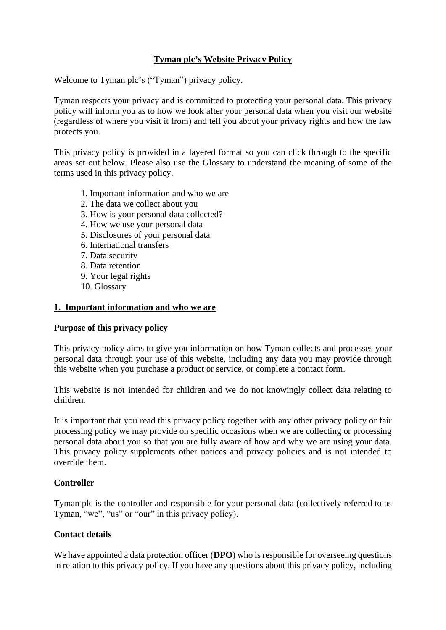# **Tyman plc's Website Privacy Policy**

Welcome to Tyman plc's ("Tyman") privacy policy.

Tyman respects your privacy and is committed to protecting your personal data. This privacy policy will inform you as to how we look after your personal data when you visit our website (regardless of where you visit it from) and tell you about your privacy rights and how the law protects you.

This privacy policy is provided in a layered format so you can click through to the specific areas set out below. Please also use the Glossary to understand the meaning of some of the terms used in this privacy policy.

- 1. Important information and who we are
- 2. The data we collect about you
- 3. How is your personal data collected?
- 4. How we use your personal data
- 5. Disclosures of your personal data
- 6. International transfers
- 7. Data security
- 8. Data retention
- 9. Your legal rights
- 10. Glossary

### **1. Important information and who we are**

#### **Purpose of this privacy policy**

This privacy policy aims to give you information on how Tyman collects and processes your personal data through your use of this website, including any data you may provide through this website when you purchase a product or service, or complete a contact form.

This website is not intended for children and we do not knowingly collect data relating to children.

It is important that you read this privacy policy together with any other privacy policy or fair processing policy we may provide on specific occasions when we are collecting or processing personal data about you so that you are fully aware of how and why we are using your data. This privacy policy supplements other notices and privacy policies and is not intended to override them.

#### **Controller**

Tyman plc is the controller and responsible for your personal data (collectively referred to as Tyman, "we", "us" or "our" in this privacy policy).

# **Contact details**

We have appointed a data protection officer (**DPO**) who is responsible for overseeing questions in relation to this privacy policy. If you have any questions about this privacy policy, including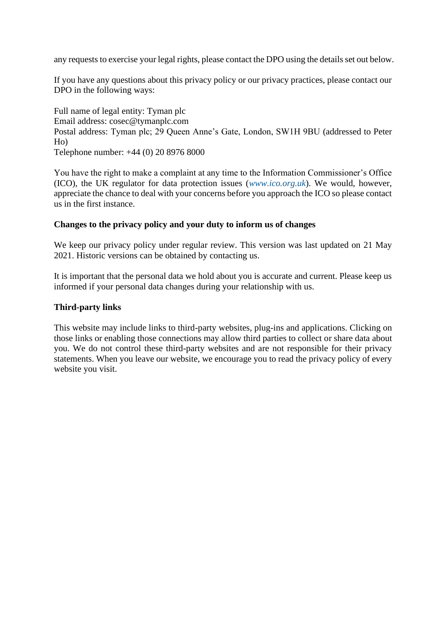any requests to exercise your legal rights, please contact the DPO using the details set out below.

If you have any questions about this privacy policy or our privacy practices, please contact our DPO in the following ways:

Full name of legal entity: Tyman plc Email address: cosec@tymanplc.com Postal address: Tyman plc; 29 Queen Anne's Gate, London, SW1H 9BU (addressed to Peter Ho) Telephone number: +44 (0) 20 8976 8000

You have the right to make a complaint at any time to the Information Commissioner's Office (ICO), the UK regulator for data protection issues (*[www.ico.org.uk](http://www.ico.org.uk/)*). We would, however, appreciate the chance to deal with your concerns before you approach the ICO so please contact us in the first instance.

## **Changes to the privacy policy and your duty to inform us of changes**

We keep our privacy policy under regular review. This version was last updated on 21 May 2021. Historic versions can be obtained by contacting us.

It is important that the personal data we hold about you is accurate and current. Please keep us informed if your personal data changes during your relationship with us.

#### **Third-party links**

This website may include links to third-party websites, plug-ins and applications. Clicking on those links or enabling those connections may allow third parties to collect or share data about you. We do not control these third-party websites and are not responsible for their privacy statements. When you leave our website, we encourage you to read the privacy policy of every website you visit.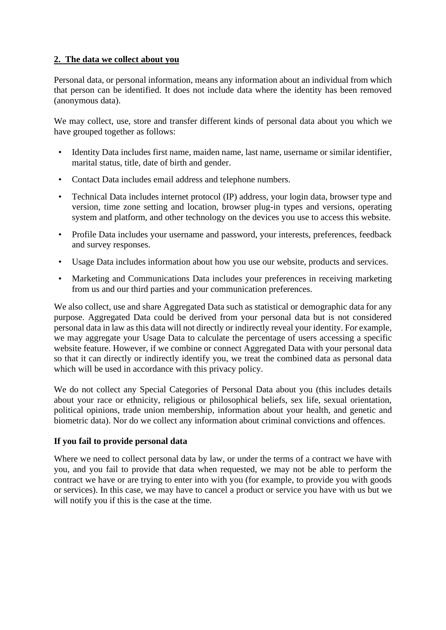# **2. The data we collect about you**

Personal data, or personal information, means any information about an individual from which that person can be identified. It does not include data where the identity has been removed (anonymous data).

We may collect, use, store and transfer different kinds of personal data about you which we have grouped together as follows:

- Identity Data includes first name, maiden name, last name, username or similar identifier, marital status, title, date of birth and gender.
- Contact Data includes email address and telephone numbers.
- Technical Data includes internet protocol (IP) address, your login data, browser type and version, time zone setting and location, browser plug-in types and versions, operating system and platform, and other technology on the devices you use to access this website.
- Profile Data includes your username and password, your interests, preferences, feedback and survey responses.
- Usage Data includes information about how you use our website, products and services.
- Marketing and Communications Data includes your preferences in receiving marketing from us and our third parties and your communication preferences.

We also collect, use and share Aggregated Data such as statistical or demographic data for any purpose. Aggregated Data could be derived from your personal data but is not considered personal data in law as this data will not directly or indirectly reveal your identity. For example, we may aggregate your Usage Data to calculate the percentage of users accessing a specific website feature. However, if we combine or connect Aggregated Data with your personal data so that it can directly or indirectly identify you, we treat the combined data as personal data which will be used in accordance with this privacy policy.

We do not collect any Special Categories of Personal Data about you (this includes details about your race or ethnicity, religious or philosophical beliefs, sex life, sexual orientation, political opinions, trade union membership, information about your health, and genetic and biometric data). Nor do we collect any information about criminal convictions and offences.

# **If you fail to provide personal data**

Where we need to collect personal data by law, or under the terms of a contract we have with you, and you fail to provide that data when requested, we may not be able to perform the contract we have or are trying to enter into with you (for example, to provide you with goods or services). In this case, we may have to cancel a product or service you have with us but we will notify you if this is the case at the time.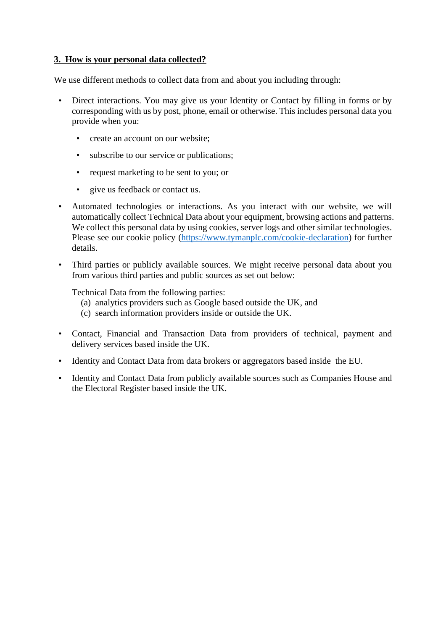# **3. How is your personal data collected?**

We use different methods to collect data from and about you including through:

- Direct interactions. You may give us your Identity or Contact by filling in forms or by corresponding with us by post, phone, email or otherwise. This includes personal data you provide when you:
	- create an account on our website;
	- subscribe to our service or publications;
	- request marketing to be sent to you; or
	- give us feedback or contact us.
- Automated technologies or interactions. As you interact with our website, we will automatically collect Technical Data about your equipment, browsing actions and patterns. We collect this personal data by using cookies, server logs and other similar technologies. Please see our cookie policy [\(https://www.tymanplc.com/cookie-declaration\)](https://www.tymanplc.com/cookie-declaration) for further details.
- Third parties or publicly available sources. We might receive personal data about you from various third parties and public sources as set out below:

Technical Data from the following parties:

- (a) analytics providers such as Google based outside the UK, and
- (c) search information providers inside or outside the UK.
- Contact, Financial and Transaction Data from providers of technical, payment and delivery services based inside the UK.
- Identity and Contact Data from data brokers or aggregators based inside the EU.
- Identity and Contact Data from publicly available sources such as Companies House and the Electoral Register based inside the UK.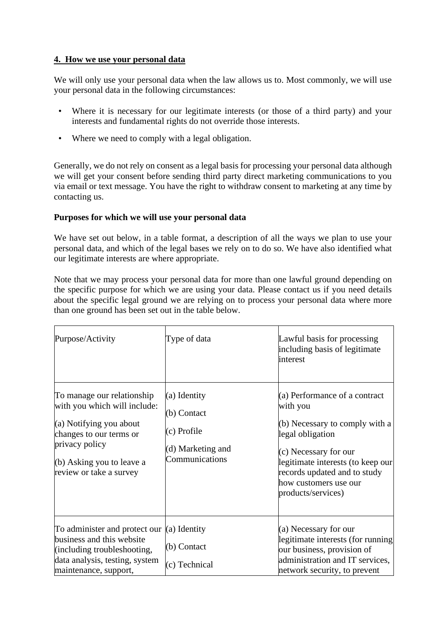## **4. How we use your personal data**

We will only use your personal data when the law allows us to. Most commonly, we will use your personal data in the following circumstances:

- Where it is necessary for our legitimate interests (or those of a third party) and your interests and fundamental rights do not override those interests.
- Where we need to comply with a legal obligation.

Generally, we do not rely on consent as a legal basis for processing your personal data although we will get your consent before sending third party direct marketing communications to you via email or text message. You have the right to withdraw consent to marketing at any time by contacting us.

# **Purposes for which we will use your personal data**

We have set out below, in a table format, a description of all the ways we plan to use your personal data, and which of the legal bases we rely on to do so. We have also identified what our legitimate interests are where appropriate.

Note that we may process your personal data for more than one lawful ground depending on the specific purpose for which we are using your data. Please contact us if you need details about the specific legal ground we are relying on to process your personal data where more than one ground has been set out in the table below.

| Purpose/Activity                                                                                                                                                                           | Type of data                                                                      | Lawful basis for processing<br>including basis of legitimate<br>interest                                                                                                                                                                     |
|--------------------------------------------------------------------------------------------------------------------------------------------------------------------------------------------|-----------------------------------------------------------------------------------|----------------------------------------------------------------------------------------------------------------------------------------------------------------------------------------------------------------------------------------------|
| To manage our relationship<br>with you which will include:<br>(a) Notifying you about<br>changes to our terms or<br>privacy policy<br>(b) Asking you to leave a<br>review or take a survey | (a) Identity<br>(b) Contact<br>(c) Profile<br>(d) Marketing and<br>Communications | (a) Performance of a contract<br>with you<br>(b) Necessary to comply with a<br>legal obligation<br>(c) Necessary for our<br>legitimate interests (to keep our<br>records updated and to study<br>how customers use our<br>products/services) |
| To administer and protect our $(a)$ Identity<br>business and this website<br>(including troubleshooting,<br>data analysis, testing, system<br>maintenance, support,                        | (b) Contact<br>(c) Technical                                                      | (a) Necessary for our<br>legitimate interests (for running<br>our business, provision of<br>administration and IT services,<br>network security, to prevent                                                                                  |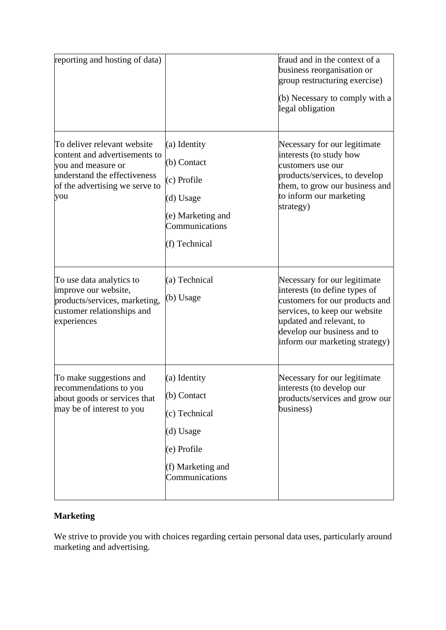| reporting and hosting of data)                                                                                                                              |                                                                                                                 | fraud and in the context of a<br>business reorganisation or<br>group restructuring exercise)<br>(b) Necessary to comply with a<br>legal obligation                                                                            |
|-------------------------------------------------------------------------------------------------------------------------------------------------------------|-----------------------------------------------------------------------------------------------------------------|-------------------------------------------------------------------------------------------------------------------------------------------------------------------------------------------------------------------------------|
| To deliver relevant website<br>content and advertisements to<br>you and measure or<br>understand the effectiveness<br>of the advertising we serve to<br>you | (a) Identity<br>(b) Contact<br>(c) Profile<br>(d) Usage<br>(e) Marketing and<br>Communications<br>(f) Technical | Necessary for our legitimate<br>interests (to study how<br>customers use our<br>products/services, to develop<br>them, to grow our business and<br>to inform our marketing<br>strategy)                                       |
| To use data analytics to<br>improve our website,<br>products/services, marketing,<br>customer relationships and<br>experiences                              | (a) Technical<br>(b) Usage                                                                                      | Necessary for our legitimate<br>interests (to define types of<br>customers for our products and<br>services, to keep our website<br>updated and relevant, to<br>develop our business and to<br>inform our marketing strategy) |
| To make suggestions and<br>recommendations to you<br>about goods or services that<br>may be of interest to you                                              | (a) Identity<br>(b) Contact<br>(c) Technical<br>(d) Usage<br>(e) Profile<br>(f) Marketing and<br>Communications | Necessary for our legitimate<br>interests (to develop our<br>products/services and grow our<br>business)                                                                                                                      |

# **Marketing**

We strive to provide you with choices regarding certain personal data uses, particularly around marketing and advertising.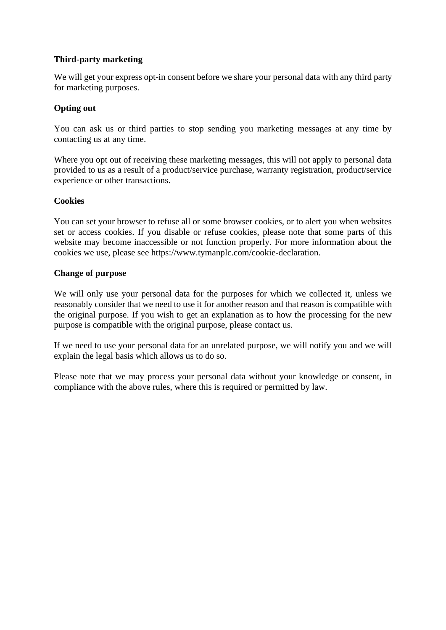# **Third-party marketing**

We will get your express opt-in consent before we share your personal data with any third party for marketing purposes.

# **Opting out**

You can ask us or third parties to stop sending you marketing messages at any time by contacting us at any time.

Where you opt out of receiving these marketing messages, this will not apply to personal data provided to us as a result of a product/service purchase, warranty registration, product/service experience or other transactions.

## **Cookies**

You can set your browser to refuse all or some browser cookies, or to alert you when websites set or access cookies. If you disable or refuse cookies, please note that some parts of this website may become inaccessible or not function properly. For more information about the cookies we use, please see https://www.tymanplc.com/cookie-declaration.

## **Change of purpose**

We will only use your personal data for the purposes for which we collected it, unless we reasonably consider that we need to use it for another reason and that reason is compatible with the original purpose. If you wish to get an explanation as to how the processing for the new purpose is compatible with the original purpose, please contact us.

If we need to use your personal data for an unrelated purpose, we will notify you and we will explain the legal basis which allows us to do so.

Please note that we may process your personal data without your knowledge or consent, in compliance with the above rules, where this is required or permitted by law.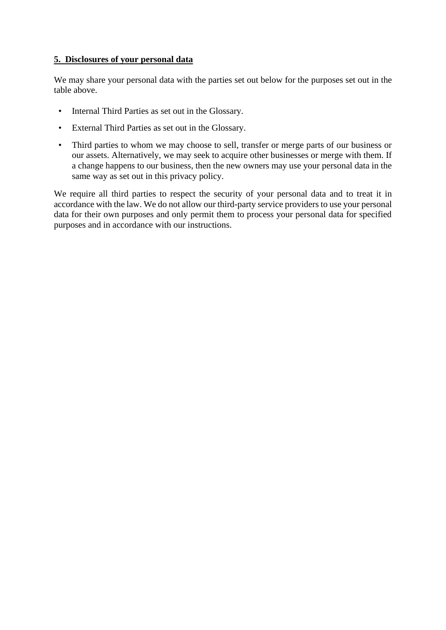## **5. Disclosures of your personal data**

We may share your personal data with the parties set out below for the purposes set out in the table above.

- Internal Third Parties as set out in the Glossary.
- External Third Parties as set out in the Glossary.
- Third parties to whom we may choose to sell, transfer or merge parts of our business or our assets. Alternatively, we may seek to acquire other businesses or merge with them. If a change happens to our business, then the new owners may use your personal data in the same way as set out in this privacy policy.

We require all third parties to respect the security of your personal data and to treat it in accordance with the law. We do not allow our third-party service providers to use your personal data for their own purposes and only permit them to process your personal data for specified purposes and in accordance with our instructions.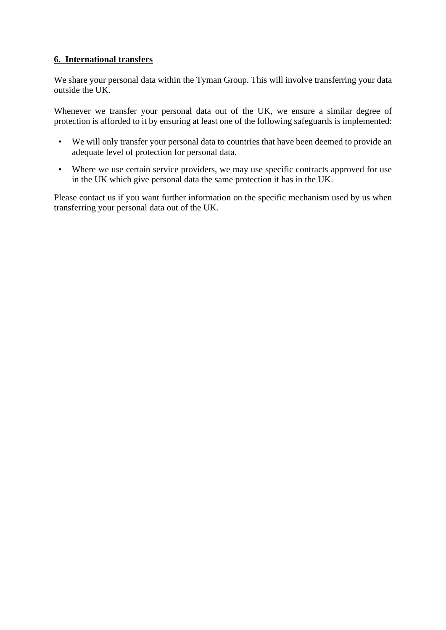# **6. International transfers**

We share your personal data within the Tyman Group. This will involve transferring your data outside the UK.

Whenever we transfer your personal data out of the UK, we ensure a similar degree of protection is afforded to it by ensuring at least one of the following safeguards is implemented:

- We will only transfer your personal data to countries that have been deemed to provide an adequate level of protection for personal data.
- Where we use certain service providers, we may use specific contracts approved for use in the UK which give personal data the same protection it has in the UK.

Please contact us if you want further information on the specific mechanism used by us when transferring your personal data out of the UK.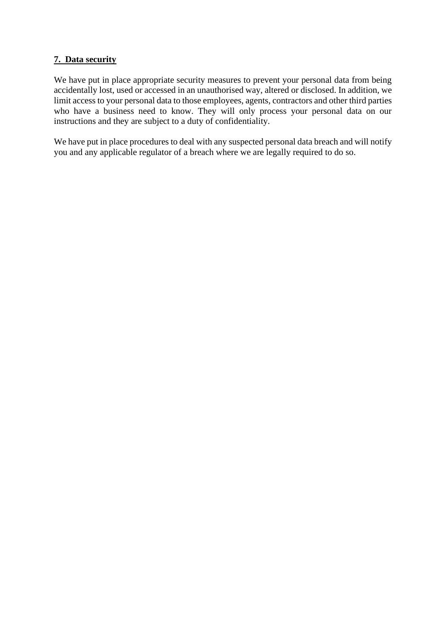# **7. Data security**

We have put in place appropriate security measures to prevent your personal data from being accidentally lost, used or accessed in an unauthorised way, altered or disclosed. In addition, we limit access to your personal data to those employees, agents, contractors and other third parties who have a business need to know. They will only process your personal data on our instructions and they are subject to a duty of confidentiality.

We have put in place procedures to deal with any suspected personal data breach and will notify you and any applicable regulator of a breach where we are legally required to do so.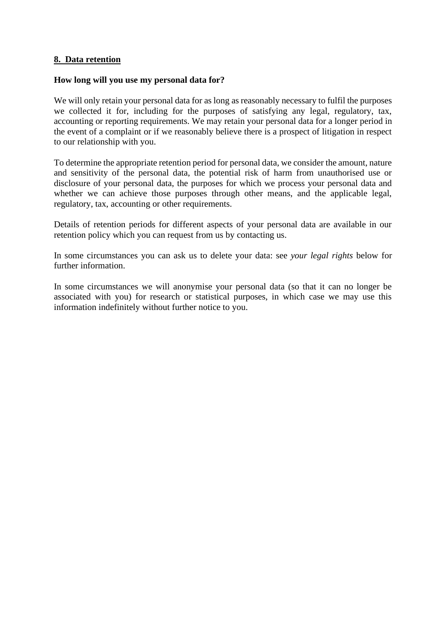### **8. Data retention**

#### **How long will you use my personal data for?**

We will only retain your personal data for as long as reasonably necessary to fulfil the purposes we collected it for, including for the purposes of satisfying any legal, regulatory, tax, accounting or reporting requirements. We may retain your personal data for a longer period in the event of a complaint or if we reasonably believe there is a prospect of litigation in respect to our relationship with you.

To determine the appropriate retention period for personal data, we consider the amount, nature and sensitivity of the personal data, the potential risk of harm from unauthorised use or disclosure of your personal data, the purposes for which we process your personal data and whether we can achieve those purposes through other means, and the applicable legal, regulatory, tax, accounting or other requirements.

Details of retention periods for different aspects of your personal data are available in our retention policy which you can request from us by contacting us.

In some circumstances you can ask us to delete your data: see *your legal rights* below for further information.

In some circumstances we will anonymise your personal data (so that it can no longer be associated with you) for research or statistical purposes, in which case we may use this information indefinitely without further notice to you.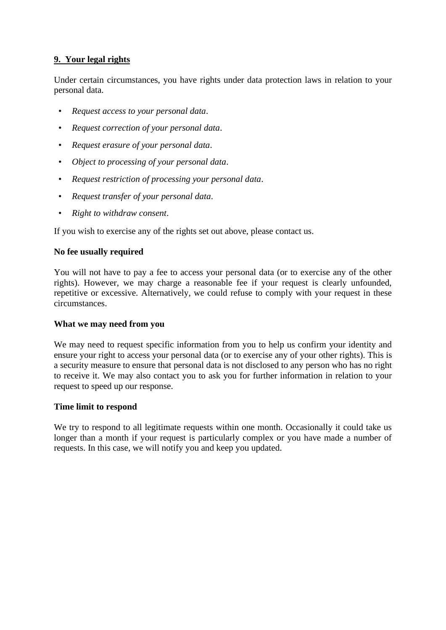# **9. Your legal rights**

Under certain circumstances, you have rights under data protection laws in relation to your personal data.

- *Request access to your personal data*.
- *Request correction of your personal data*.
- *Request erasure of your personal data*.
- *Object to processing of your personal data*.
- *Request restriction of processing your personal data*.
- *Request transfer of your personal data*.
- *Right to withdraw consent*.

If you wish to exercise any of the rights set out above, please contact us.

## **No fee usually required**

You will not have to pay a fee to access your personal data (or to exercise any of the other rights). However, we may charge a reasonable fee if your request is clearly unfounded, repetitive or excessive. Alternatively, we could refuse to comply with your request in these circumstances.

#### **What we may need from you**

We may need to request specific information from you to help us confirm your identity and ensure your right to access your personal data (or to exercise any of your other rights). This is a security measure to ensure that personal data is not disclosed to any person who has no right to receive it. We may also contact you to ask you for further information in relation to your request to speed up our response.

#### **Time limit to respond**

We try to respond to all legitimate requests within one month. Occasionally it could take us longer than a month if your request is particularly complex or you have made a number of requests. In this case, we will notify you and keep you updated.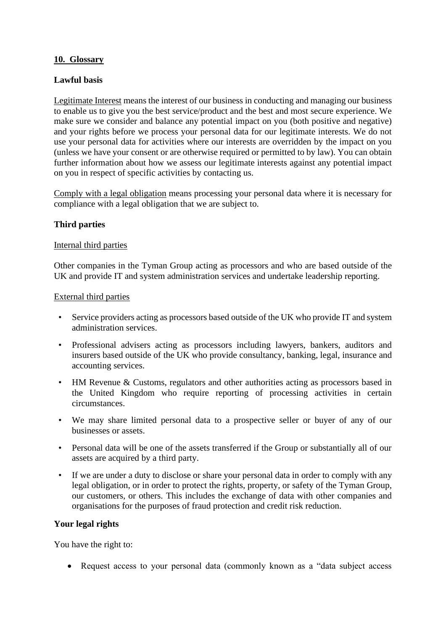## **10. Glossary**

## **Lawful basis**

Legitimate Interest means the interest of our business in conducting and managing our business to enable us to give you the best service/product and the best and most secure experience. We make sure we consider and balance any potential impact on you (both positive and negative) and your rights before we process your personal data for our legitimate interests. We do not use your personal data for activities where our interests are overridden by the impact on you (unless we have your consent or are otherwise required or permitted to by law). You can obtain further information about how we assess our legitimate interests against any potential impact on you in respect of specific activities by contacting us.

Comply with a legal obligation means processing your personal data where it is necessary for compliance with a legal obligation that we are subject to.

# **Third parties**

#### Internal third parties

Other companies in the Tyman Group acting as processors and who are based outside of the UK and provide IT and system administration services and undertake leadership reporting.

## External third parties

- Service providers acting as processors based outside of the UK who provide IT and system administration services.
- Professional advisers acting as processors including lawyers, bankers, auditors and insurers based outside of the UK who provide consultancy, banking, legal, insurance and accounting services.
- HM Revenue & Customs, regulators and other authorities acting as processors based in the United Kingdom who require reporting of processing activities in certain circumstances.
- We may share limited personal data to a prospective seller or buyer of any of our businesses or assets.
- Personal data will be one of the assets transferred if the Group or substantially all of our assets are acquired by a third party.
- If we are under a duty to disclose or share your personal data in order to comply with any legal obligation, or in order to protect the rights, property, or safety of the Tyman Group, our customers, or others. This includes the exchange of data with other companies and organisations for the purposes of fraud protection and credit risk reduction.

#### **Your legal rights**

You have the right to:

• Request access to your personal data (commonly known as a "data subject access")